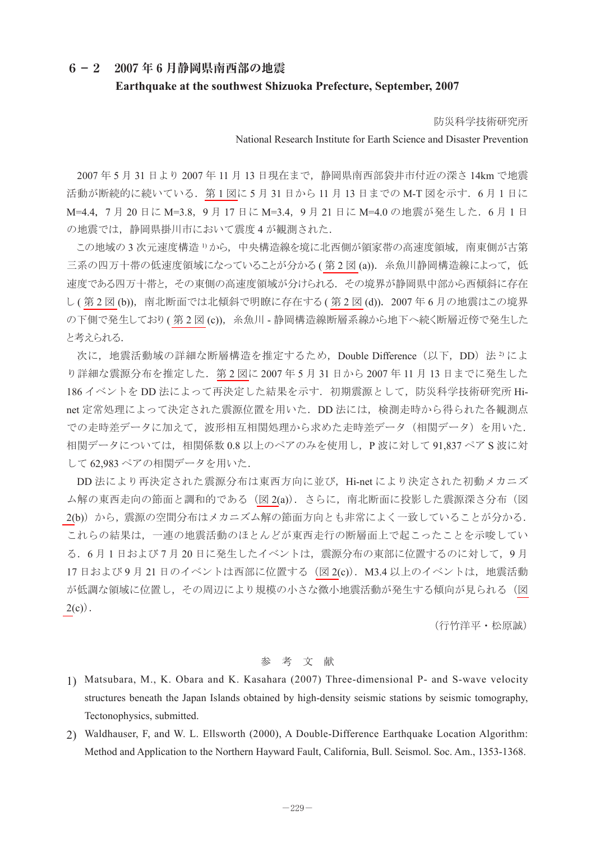## **6-2 2007 年 6 月静岡県南西部の地震 Earthquake at the southwest Shizuoka Prefecture, September, 2007**

防災科学技術研究所

## National Research Institute for Earth Science and Disaster Prevention

2007 年 5 月 31 日より 2007 年 11 月 13 日現在まで, 静岡県南西部袋井市付近の深さ 14km で地震 活動が断続的に続いている.第 1 [図に](#page-1-0) 5 月 31 日から 11 月 13 日までの M-T 図を示す.6 月 1 日に M=4.4, 7月 20 日に M=3.8, 9月 17 日に M=3.4, 9月 21 日に M=4.0 の地震が発生した. 6月1日 の地震では,静岡県掛川市において震度 4 が観測された.

この地域の 3 次元速度構造 1) から, 中央構造線を境に北西側が領家帯の高速度領域, 南東側が古第 三系の四万十帯の低速度領域になっていることが分かる ([第](#page-1-0)2図 (a)). 糸魚川静岡構造線によって, 低 速度である四万十帯と, その東側の高速度領域が分けられる. その境界が静岡県中部から西傾斜に存在 し ( [第](#page-1-0) 2 図 (b)), 南北断面では北傾斜で明瞭に存在する ( 第 2 図 (d)). 2007 年 6 月の地震はこの境界 の下側で発生しており ([第](#page-1-0)2図 (c)), 糸魚川 - 静岡構造線断層系線から地下へ続く断層近傍で発生した と考えられる.

次に、地震活動域の詳細な断層構造を推定するため、Double Difference (以下, DD) 法 2) によ り詳細な震源分布を推定した.第 2 [図に](#page-1-0) 2007 年 5 月 31 日から 2007 年 11 月 13 日までに発生した 186 イベントを DD 法によって再決定した結果を示す. 初期震源として、防災科学技術研究所 Hinet 定常処理によって決定された震源位置を用いた.DD 法には,検測走時から得られた各観測点 での走時差データに加えて、波形相互相関処理から求めた走時差データ(相関データ)を用いた. 相関データについては,相関係数 0.8 以上のペアのみを使用し,P 波に対して 91,837 ペア S 波に対 して 62,983 ペアの相関データを用いた.

DD 法により再決定された震源分布は東西方向に並び,Hi-net により決定された初動メカニズ ム解の東西走向の節面と調和的である[\(図](#page-1-0) 2(a)). さらに、南北断面に投影した震源深さ分布(図 [2\(](#page-1-0)b)) から、震源の空間分布はメカニズム解の節面方向とも非常によく一致していることが分かる. これらの結果は,一連の地震活動のほとんどが東西走行の断層面上で起こったことを示唆してい る.6 月 1 日および 7 月 20 日に発生したイベントは,震源分布の東部に位置するのに対して,9 月 17 日および 9 月 21 日のイベントは西部に位置する [\(図](#page-1-0) 2(c)). M3.4 以上のイベントは、地震活動 が低調な領域に位置し,その周辺により規模の小さな微小地震活動が発生する傾向が見られる[\(図](#page-1-0)  $2(c)$  $2(c)$ .

(行竹洋平・松原誠)

## 参 考 文 献

- 11 Matsubara, M., K. Obara and K. Kasahara (2007) Three-dimensional P- and S-wave velocity structures beneath the Japan Islands obtained by high-density seismic stations by seismic tomography, Tectonophysics, submitted.
- 22 Waldhauser, F, and W. L. Ellsworth (2000), A Double-Difference Earthquake Location Algorithm: Method and Application to the Northern Hayward Fault, California, Bull. Seismol. Soc. Am., 1353-1368.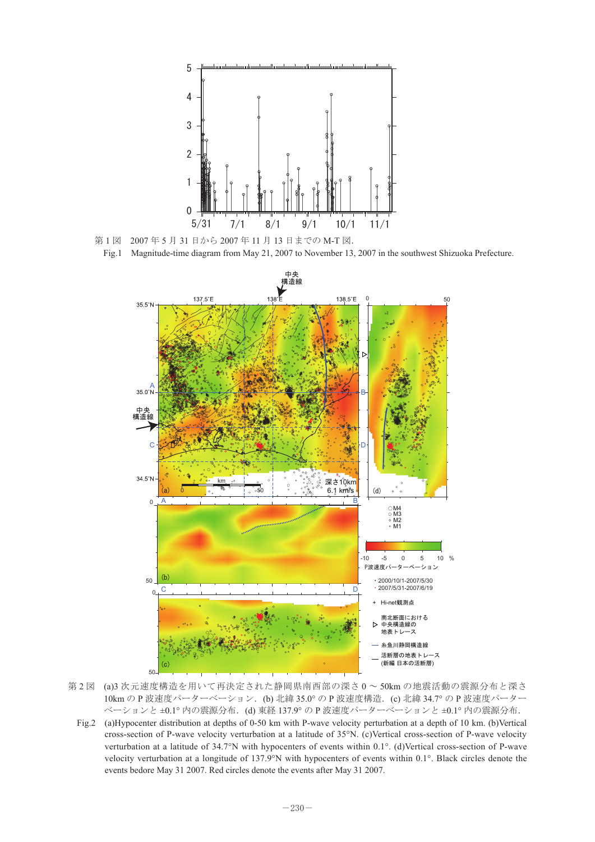<span id="page-1-0"></span>

第1図 2007年5月31日から2007年11月13日までのM-T図.

Fig.1 Magnitude-time diagram from May 21, 2007 to November 13, 2007 in the southwest Shizuoka Prefecture.



第 2 図 (a)3 次元速度構造を用いて再決定された静岡県南西部の深さ 0 ~ 50km の地震活動の震源分布と深さ 10km の P 波速度パーターベーション.(b) 北緯 35.0° の P 波速度構造.(c) 北緯 34.7° の P 波速度パーター 第2図ベーションと ±0.1° 内の震源分布. (d) 東経 137.9° の P 波速度パーターベーションと ±0.1° 内の震源分布.

Fig.2 (a)Hypocenter distribution at depths of 0-50 km with P-wave velocity perturbation at a depth of 10 km. (b)Vertical cross-section of P-wave velocity verturbation at a latitude of 35°N. (c)Vertical cross-section of P-wave velocity verturbation at a latitude of 34.7°N with hypocenters of events within 0.1°. (d)Vertical cross-section of P-wave velocity verturbation at a longitude of 137.9°N with hypocenters of events within 0.1°. Black circles denote the events bedore May 31 2007. Red circles denote the events after May 31 2007.